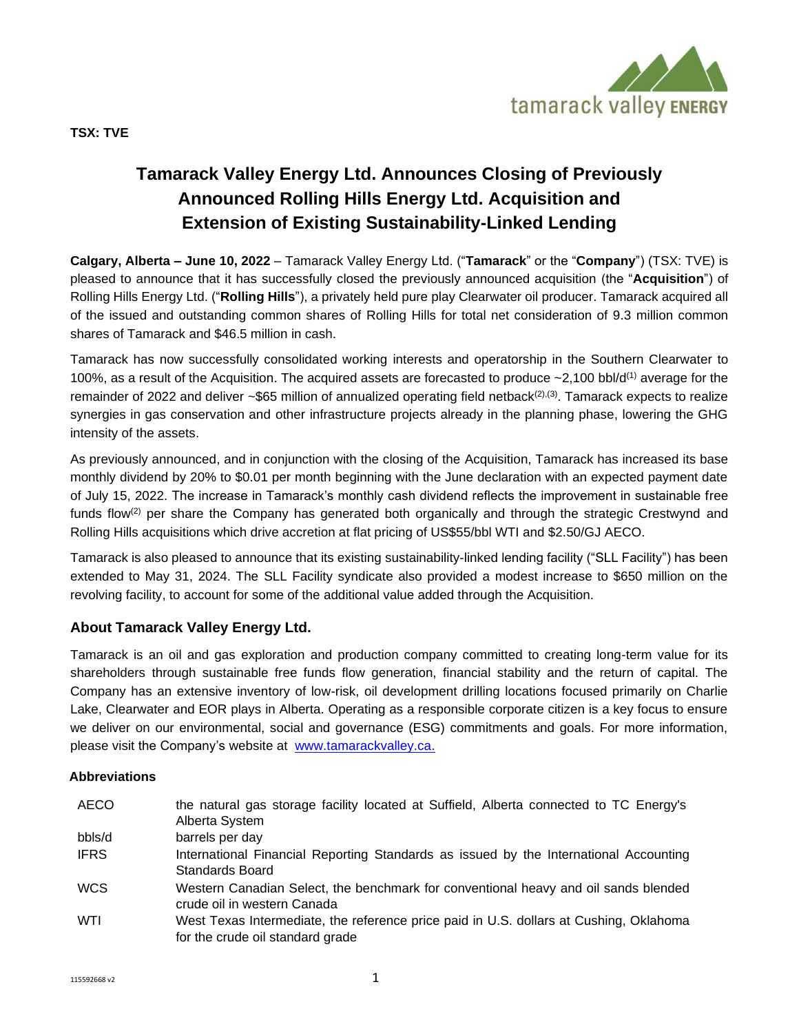

# **Tamarack Valley Energy Ltd. Announces Closing of Previously Announced Rolling Hills Energy Ltd. Acquisition and Extension of Existing Sustainability-Linked Lending**

**Calgary, Alberta – June 10, 2022** – Tamarack Valley Energy Ltd. ("**Tamarack**" or the "**Company**") (TSX: TVE) is pleased to announce that it has successfully closed the previously announced acquisition (the "**Acquisition**") of Rolling Hills Energy Ltd. ("**Rolling Hills**"), a privately held pure play Clearwater oil producer. Tamarack acquired all of the issued and outstanding common shares of Rolling Hills for total net consideration of 9.3 million common shares of Tamarack and \$46.5 million in cash.

Tamarack has now successfully consolidated working interests and operatorship in the Southern Clearwater to 100%, as a result of the Acquisition. The acquired assets are forecasted to produce  $\sim$ 2,100 bbl/d<sup>(1)</sup> average for the remainder of 2022 and deliver  $\sim$ \$65 million of annualized operating field netback $(2)$ ,(3). Tamarack expects to realize synergies in gas conservation and other infrastructure projects already in the planning phase, lowering the GHG intensity of the assets.

As previously announced, and in conjunction with the closing of the Acquisition, Tamarack has increased its base monthly dividend by 20% to \$0.01 per month beginning with the June declaration with an expected payment date of July 15, 2022. The increase in Tamarack's monthly cash dividend reflects the improvement in sustainable free funds flow<sup>(2)</sup> per share the Company has generated both organically and through the strategic Crestwynd and Rolling Hills acquisitions which drive accretion at flat pricing of US\$55/bbl WTI and \$2.50/GJ AECO.

Tamarack is also pleased to announce that its existing sustainability-linked lending facility ("SLL Facility") has been extended to May 31, 2024. The SLL Facility syndicate also provided a modest increase to \$650 million on the revolving facility, to account for some of the additional value added through the Acquisition.

# **About Tamarack Valley Energy Ltd.**

Tamarack is an oil and gas exploration and production company committed to creating long-term value for its shareholders through sustainable free funds flow generation, financial stability and the return of capital. The Company has an extensive inventory of low-risk, oil development drilling locations focused primarily on Charlie Lake, Clearwater and EOR plays in Alberta. Operating as a responsible corporate citizen is a key focus to ensure we deliver on our environmental, social and governance (ESG) commitments and goals. For more information, please visit the Company's website at [www.tamarackvalley.ca.](http://www.tamarackvalley.ca/)

#### **Abbreviations**

| AECO        | the natural gas storage facility located at Suffield, Alberta connected to TC Energy's<br>Alberta System                   |
|-------------|----------------------------------------------------------------------------------------------------------------------------|
| bbls/d      | barrels per day                                                                                                            |
| <b>IFRS</b> | International Financial Reporting Standards as issued by the International Accounting<br>Standards Board                   |
| <b>WCS</b>  | Western Canadian Select, the benchmark for conventional heavy and oil sands blended<br>crude oil in western Canada         |
| WTI         | West Texas Intermediate, the reference price paid in U.S. dollars at Cushing, Oklahoma<br>for the crude oil standard grade |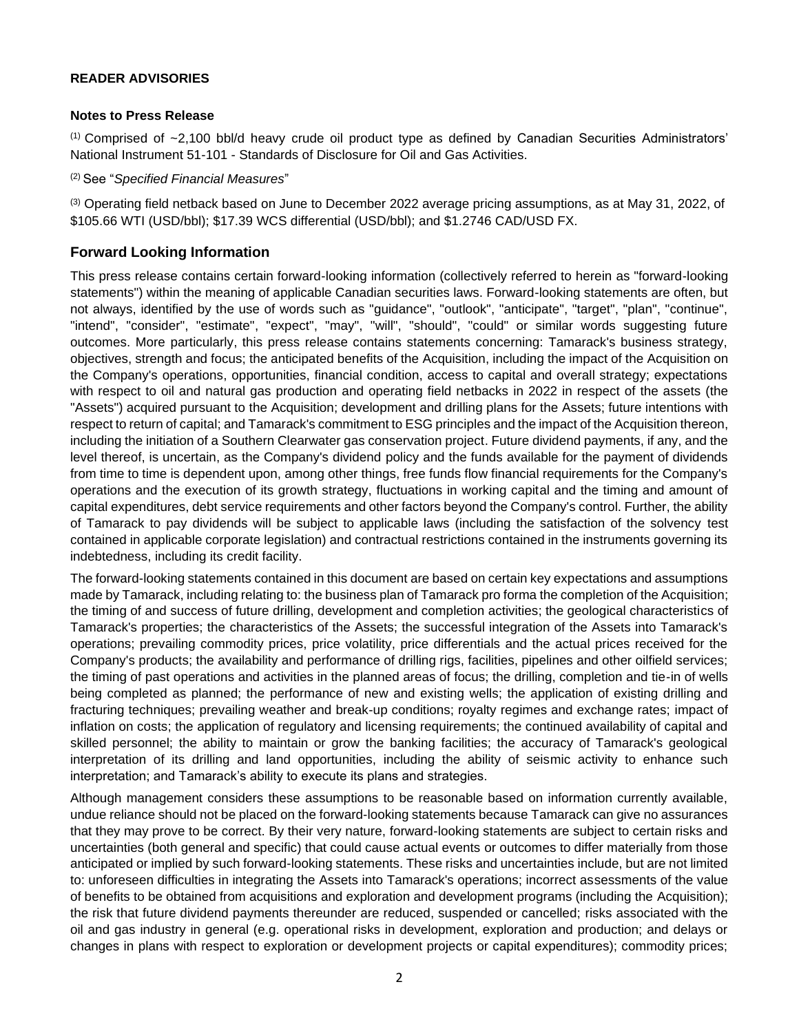## **READER ADVISORIES**

#### **Notes to Press Release**

 $(1)$  Comprised of  $\sim$ 2,100 bbl/d heavy crude oil product type as defined by Canadian Securities Administrators' National Instrument 51-101 - Standards of Disclosure for Oil and Gas Activities.

(2) See "*Specified Financial Measures*"

(3) Operating field netback based on June to December 2022 average pricing assumptions, as at May 31, 2022, of \$105.66 WTI (USD/bbl); \$17.39 WCS differential (USD/bbl); and \$1.2746 CAD/USD FX.

# **Forward Looking Information**

This press release contains certain forward-looking information (collectively referred to herein as "forward-looking statements") within the meaning of applicable Canadian securities laws. Forward-looking statements are often, but not always, identified by the use of words such as "guidance", "outlook", "anticipate", "target", "plan", "continue", "intend", "consider", "estimate", "expect", "may", "will", "should", "could" or similar words suggesting future outcomes. More particularly, this press release contains statements concerning: Tamarack's business strategy, objectives, strength and focus; the anticipated benefits of the Acquisition, including the impact of the Acquisition on the Company's operations, opportunities, financial condition, access to capital and overall strategy; expectations with respect to oil and natural gas production and operating field netbacks in 2022 in respect of the assets (the "Assets") acquired pursuant to the Acquisition; development and drilling plans for the Assets; future intentions with respect to return of capital; and Tamarack's commitment to ESG principles and the impact of the Acquisition thereon, including the initiation of a Southern Clearwater gas conservation project. Future dividend payments, if any, and the level thereof, is uncertain, as the Company's dividend policy and the funds available for the payment of dividends from time to time is dependent upon, among other things, free funds flow financial requirements for the Company's operations and the execution of its growth strategy, fluctuations in working capital and the timing and amount of capital expenditures, debt service requirements and other factors beyond the Company's control. Further, the ability of Tamarack to pay dividends will be subject to applicable laws (including the satisfaction of the solvency test contained in applicable corporate legislation) and contractual restrictions contained in the instruments governing its indebtedness, including its credit facility.

The forward-looking statements contained in this document are based on certain key expectations and assumptions made by Tamarack, including relating to: the business plan of Tamarack pro forma the completion of the Acquisition; the timing of and success of future drilling, development and completion activities; the geological characteristics of Tamarack's properties; the characteristics of the Assets; the successful integration of the Assets into Tamarack's operations; prevailing commodity prices, price volatility, price differentials and the actual prices received for the Company's products; the availability and performance of drilling rigs, facilities, pipelines and other oilfield services; the timing of past operations and activities in the planned areas of focus; the drilling, completion and tie-in of wells being completed as planned; the performance of new and existing wells; the application of existing drilling and fracturing techniques; prevailing weather and break-up conditions; royalty regimes and exchange rates; impact of inflation on costs; the application of regulatory and licensing requirements; the continued availability of capital and skilled personnel; the ability to maintain or grow the banking facilities; the accuracy of Tamarack's geological interpretation of its drilling and land opportunities, including the ability of seismic activity to enhance such interpretation; and Tamarack's ability to execute its plans and strategies.

Although management considers these assumptions to be reasonable based on information currently available, undue reliance should not be placed on the forward-looking statements because Tamarack can give no assurances that they may prove to be correct. By their very nature, forward-looking statements are subject to certain risks and uncertainties (both general and specific) that could cause actual events or outcomes to differ materially from those anticipated or implied by such forward-looking statements. These risks and uncertainties include, but are not limited to: unforeseen difficulties in integrating the Assets into Tamarack's operations; incorrect assessments of the value of benefits to be obtained from acquisitions and exploration and development programs (including the Acquisition); the risk that future dividend payments thereunder are reduced, suspended or cancelled; risks associated with the oil and gas industry in general (e.g. operational risks in development, exploration and production; and delays or changes in plans with respect to exploration or development projects or capital expenditures); commodity prices;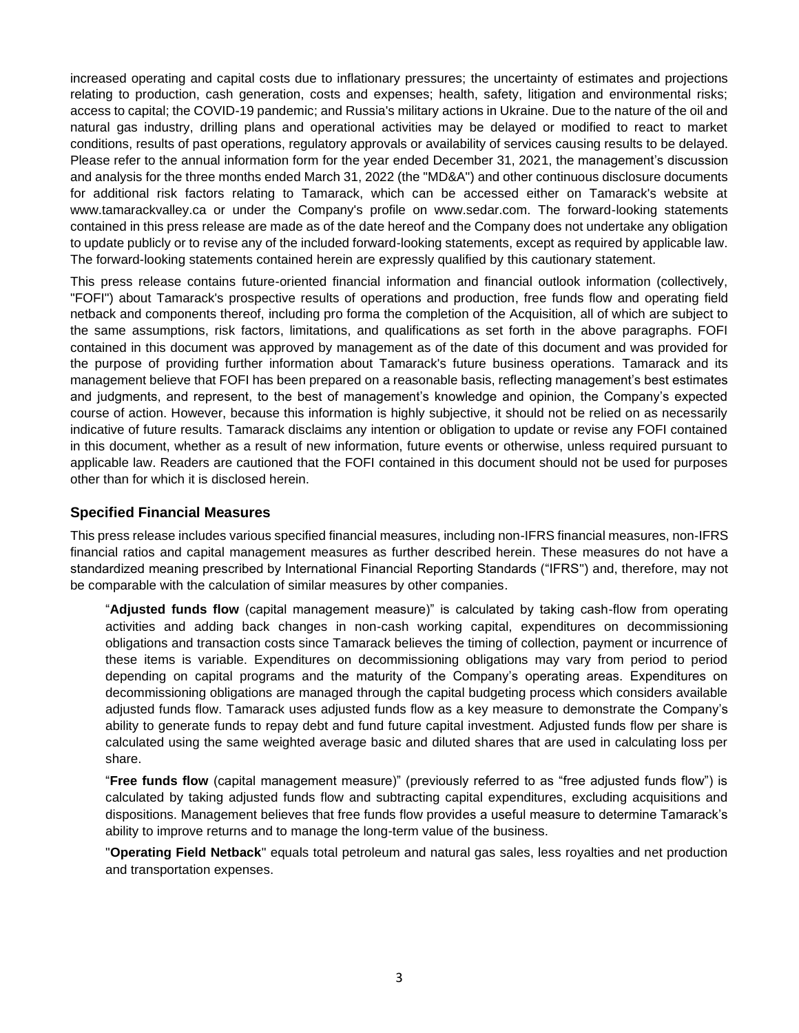increased operating and capital costs due to inflationary pressures; the uncertainty of estimates and projections relating to production, cash generation, costs and expenses; health, safety, litigation and environmental risks; access to capital; the COVID-19 pandemic; and Russia's military actions in Ukraine. Due to the nature of the oil and natural gas industry, drilling plans and operational activities may be delayed or modified to react to market conditions, results of past operations, regulatory approvals or availability of services causing results to be delayed. Please refer to the annual information form for the year ended December 31, 2021, the management's discussion and analysis for the three months ended March 31, 2022 (the "MD&A") and other continuous disclosure documents for additional risk factors relating to Tamarack, which can be accessed either on Tamarack's website at www.tamarackvalley.ca or under the Company's profile on www.sedar.com. The forward-looking statements contained in this press release are made as of the date hereof and the Company does not undertake any obligation to update publicly or to revise any of the included forward-looking statements, except as required by applicable law. The forward-looking statements contained herein are expressly qualified by this cautionary statement.

This press release contains future-oriented financial information and financial outlook information (collectively, "FOFI") about Tamarack's prospective results of operations and production, free funds flow and operating field netback and components thereof, including pro forma the completion of the Acquisition, all of which are subject to the same assumptions, risk factors, limitations, and qualifications as set forth in the above paragraphs. FOFI contained in this document was approved by management as of the date of this document and was provided for the purpose of providing further information about Tamarack's future business operations. Tamarack and its management believe that FOFI has been prepared on a reasonable basis, reflecting management's best estimates and judgments, and represent, to the best of management's knowledge and opinion, the Company's expected course of action. However, because this information is highly subjective, it should not be relied on as necessarily indicative of future results. Tamarack disclaims any intention or obligation to update or revise any FOFI contained in this document, whether as a result of new information, future events or otherwise, unless required pursuant to applicable law. Readers are cautioned that the FOFI contained in this document should not be used for purposes other than for which it is disclosed herein.

## **Specified Financial Measures**

This press release includes various specified financial measures, including non-IFRS financial measures, non-IFRS financial ratios and capital management measures as further described herein. These measures do not have a standardized meaning prescribed by International Financial Reporting Standards ("IFRS") and, therefore, may not be comparable with the calculation of similar measures by other companies.

"**Adjusted funds flow** (capital management measure)" is calculated by taking cash-flow from operating activities and adding back changes in non-cash working capital, expenditures on decommissioning obligations and transaction costs since Tamarack believes the timing of collection, payment or incurrence of these items is variable. Expenditures on decommissioning obligations may vary from period to period depending on capital programs and the maturity of the Company's operating areas. Expenditures on decommissioning obligations are managed through the capital budgeting process which considers available adjusted funds flow. Tamarack uses adjusted funds flow as a key measure to demonstrate the Company's ability to generate funds to repay debt and fund future capital investment. Adjusted funds flow per share is calculated using the same weighted average basic and diluted shares that are used in calculating loss per share.

"**Free funds flow** (capital management measure)" (previously referred to as "free adjusted funds flow") is calculated by taking adjusted funds flow and subtracting capital expenditures, excluding acquisitions and dispositions. Management believes that free funds flow provides a useful measure to determine Tamarack's ability to improve returns and to manage the long-term value of the business.

"**Operating Field Netback**" equals total petroleum and natural gas sales, less royalties and net production and transportation expenses.